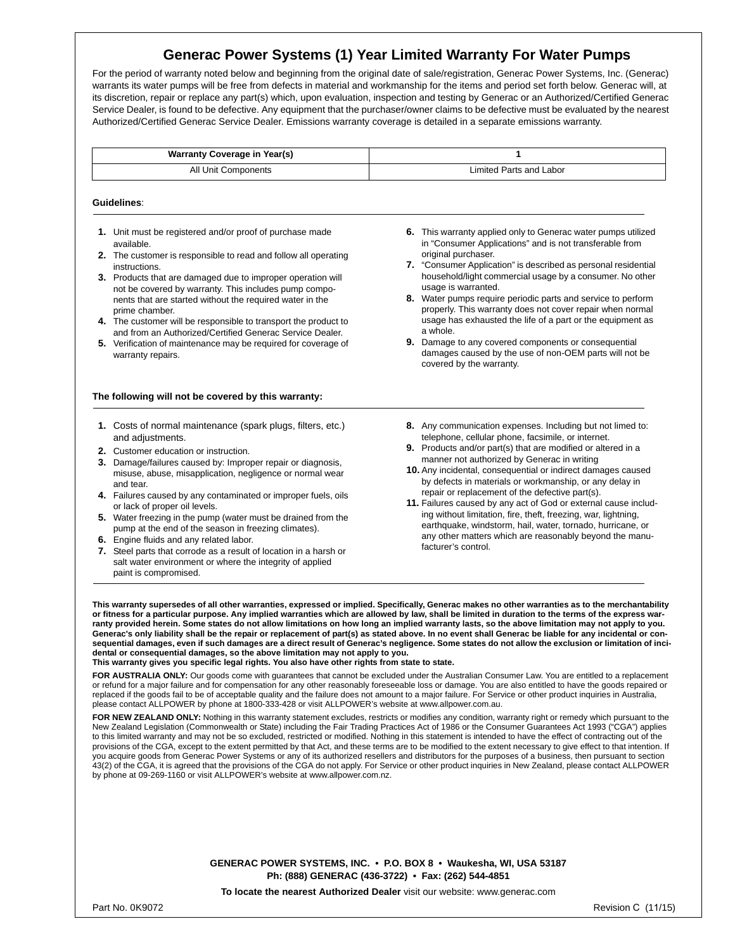# **Generac Power Systems (1) Year Limited Warranty For Water Pumps**

For the period of warranty noted below and beginning from the original date of sale/registration, Generac Power Systems, Inc. (Generac) warrants its water pumps will be free from defects in material and workmanship for the items and period set forth below. Generac will, at its discretion, repair or replace any part(s) which, upon evaluation, inspection and testing by Generac or an Authorized/Certified Generac Service Dealer, is found to be defective. Any equipment that the purchaser/owner claims to be defective must be evaluated by the nearest Authorized/Certified Generac Service Dealer. Emissions warranty coverage is detailed in a separate emissions warranty.

| <b>Warranty Coverage in Year(s)</b> |                         |
|-------------------------------------|-------------------------|
| All Unit Components                 | Limited Parts and Labor |

### **Guidelines**:

- **1.** Unit must be registered and/or proof of purchase made available.
- **2.** The customer is responsible to read and follow all operating instructions.
- **3.** Products that are damaged due to improper operation will not be covered by warranty. This includes pump components that are started without the required water in the prime chamber.
- **4.** The customer will be responsible to transport the product to and from an Authorized/Certified Generac Service Dealer.
- **5.** Verification of maintenance may be required for coverage of warranty repairs.

### **The following will not be covered by this warranty:**

- **1.** Costs of normal maintenance (spark plugs, filters, etc.) and adjustments.
- **2.** Customer education or instruction.
- **3.** Damage/failures caused by: Improper repair or diagnosis, misuse, abuse, misapplication, negligence or normal wear and tear.
- **4.** Failures caused by any contaminated or improper fuels, oils or lack of proper oil levels.
- **5.** Water freezing in the pump (water must be drained from the pump at the end of the season in freezing climates).
- **6.** Engine fluids and any related labor.
- **7.** Steel parts that corrode as a result of location in a harsh or salt water environment or where the integrity of applied paint is compromised.
- **6.** This warranty applied only to Generac water pumps utilized in "Consumer Applications" and is not transferable from original purchaser.
- **7.** "Consumer Application" is described as personal residential household/light commercial usage by a consumer. No other usage is warranted.
- **8.** Water pumps require periodic parts and service to perform properly. This warranty does not cover repair when normal usage has exhausted the life of a part or the equipment as a whole.
- **9.** Damage to any covered components or consequential damages caused by the use of non-OEM parts will not be covered by the warranty.
- **8.** Any communication expenses. Including but not limed to: telephone, cellular phone, facsimile, or internet.
- **9.** Products and/or part(s) that are modified or altered in a manner not authorized by Generac in writing
- **10.** Any incidental, consequential or indirect damages caused by defects in materials or workmanship, or any delay in repair or replacement of the defective part(s).
- **11.** Failures caused by any act of God or external cause including without limitation, fire, theft, freezing, war, lightning, earthquake, windstorm, hail, water, tornado, hurricane, or any other matters which are reasonably beyond the manufacturer's control.

**This warranty supersedes of all other warranties, expressed or implied. Specifically, Generac makes no other warranties as to the merchantability or fitness for a particular purpose. Any implied warranties which are allowed by law, shall be limited in duration to the terms of the express warranty provided herein. Some states do not allow limitations on how long an implied warranty lasts, so the above limitation may not apply to you. Generac's only liability shall be the repair or replacement of part(s) as stated above. In no event shall Generac be liable for any incidental or consequential damages, even if such damages are a direct result of Generac's negligence. Some states do not allow the exclusion or limitation of incidental or consequential damages, so the above limitation may not apply to you.** 

**This warranty gives you specific legal rights. You also have other rights from state to state.** 

**FOR AUSTRALIA ONLY:** Our goods come with guarantees that cannot be excluded under the Australian Consumer Law. You are entitled to a replacement or refund for a major failure and for compensation for any other reasonably foreseeable loss or damage. You are also entitled to have the goods repaired or replaced if the goods fail to be of acceptable quality and the failure does not amount to a major failure. For Service or other product inquiries in Australia, please contact ALLPOWER by phone at 1800-333-428 or visit ALLPOWER's website at www.allpower.com.au.

FOR NEW ZEALAND ONLY: Nothing in this warranty statement excludes, restricts or modifies any condition, warranty right or remedy which pursuant to the New Zealand Legislation (Commonwealth or State) including the Fair Trading Practices Act of 1986 or the Consumer Guarantees Act 1993 ("CGA") applies to this limited warranty and may not be so excluded, restricted or modified. Nothing in this statement is intended to have the effect of contracting out of the provisions of the CGA, except to the extent permitted by that Act, and these terms are to be modified to the extent necessary to give effect to that intention. If you acquire goods from Generac Power Systems or any of its authorized resellers and distributors for the purposes of a business, then pursuant to section 43(2) of the CGA, it is agreed that the provisions of the CGA do not apply. For Service or other product inquiries in New Zealand, please contact ALLPOWER by phone at 09-269-1160 or visit ALLPOWER's website at www.allpower.com.nz.

> **GENERAC POWER SYSTEMS, INC. • P.O. BOX 8 • Waukesha, WI, USA 53187 Ph: (888) GENERAC (436-3722) • Fax: (262) 544-4851**

**To locate the nearest Authorized Dealer** visit our website: www.generac.com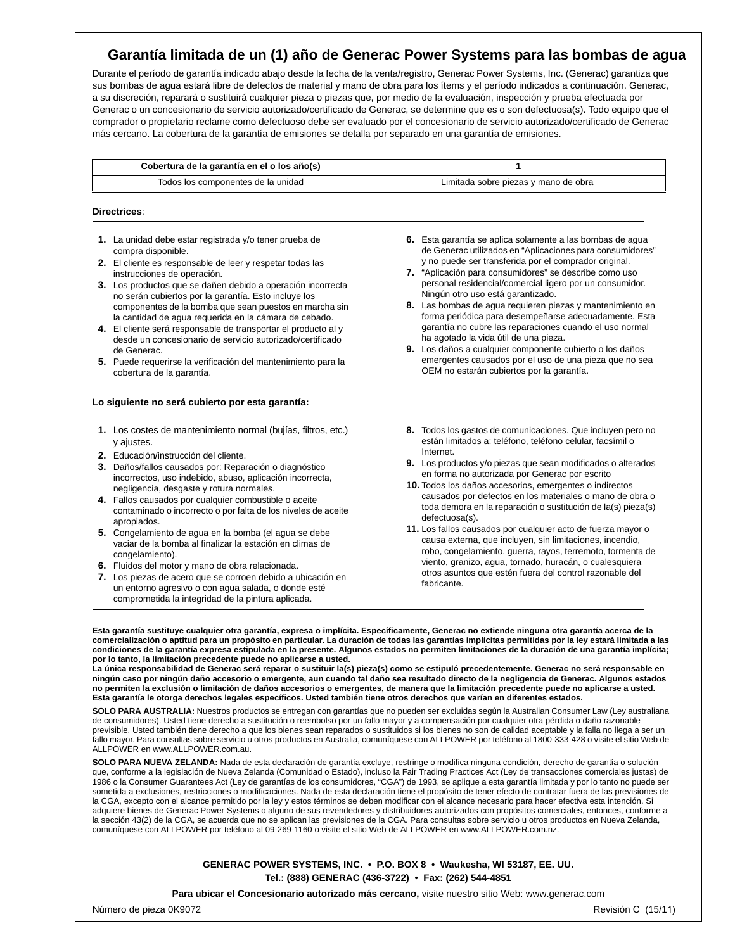## **Garantía limitada de un (1) año de Generac Power Systems para las bombas de agua**

Durante el período de garantía indicado abajo desde la fecha de la venta/registro, Generac Power Systems, Inc. (Generac) garantiza que sus bombas de agua estará libre de defectos de material y mano de obra para los ítems y el período indicados a continuación. Generac, a su discreción, reparará o sustituirá cualquier pieza o piezas que, por medio de la evaluación, inspección y prueba efectuada por Generac o un concesionario de servicio autorizado/certificado de Generac, se determine que es o son defectuosa(s). Todo equipo que el comprador o propietario reclame como defectuoso debe ser evaluado por el concesionario de servicio autorizado/certificado de Generac más cercano. La cobertura de la garantía de emisiones se detalla por separado en una garantía de emisiones.

| Cobertura de la garantía en el o los año(s) |                                      |
|---------------------------------------------|--------------------------------------|
| Todos los componentes de la unidad          | Limitada sobre piezas y mano de obra |

### **Directrices**:

- **1.** La unidad debe estar registrada y/o tener prueba de compra disponible.
- **2.** El cliente es responsable de leer y respetar todas las instrucciones de operación.
- **3.** Los productos que se dañen debido a operación incorrecta no serán cubiertos por la garantía. Esto incluye los componentes de la bomba que sean puestos en marcha sin la cantidad de agua requerida en la cámara de cebado.
- **4.** El cliente será responsable de transportar el producto al y desde un concesionario de servicio autorizado/certificado de Generac.
- **5.** Puede requerirse la verificación del mantenimiento para la cobertura de la garantía.

### **Lo siguiente no será cubierto por esta garantía:**

- **1.** Los costes de mantenimiento normal (bujías, filtros, etc.) y ajustes.
- **2.** Educación/instrucción del cliente.
- **3.** Daños/fallos causados por: Reparación o diagnóstico incorrectos, uso indebido, abuso, aplicación incorrecta, negligencia, desgaste y rotura normales.
- **4.** Fallos causados por cualquier combustible o aceite contaminado o incorrecto o por falta de los niveles de aceite apropiados.
- **5.** Congelamiento de agua en la bomba (el agua se debe vaciar de la bomba al finalizar la estación en climas de congelamiento).
- **6.** Fluidos del motor y mano de obra relacionada.
- **7.** Los piezas de acero que se corroen debido a ubicación en un entorno agresivo o con agua salada, o donde esté comprometida la integridad de la pintura aplicada.
- **6.** Esta garantía se aplica solamente a las bombas de agua de Generac utilizados en "Aplicaciones para consumidores" y no puede ser transferida por el comprador original.
- **7.** "Aplicación para consumidores" se describe como uso personal residencial/comercial ligero por un consumidor. Ningún otro uso está garantizado.
- **8.** Las bombas de agua requieren piezas y mantenimiento en forma periódica para desempeñarse adecuadamente. Esta garantía no cubre las reparaciones cuando el uso normal ha agotado la vida útil de una pieza.
- **9.** Los daños a cualquier componente cubierto o los daños emergentes causados por el uso de una pieza que no sea OEM no estarán cubiertos por la garantía.
- **8.** Todos los gastos de comunicaciones. Que incluyen pero no están limitados a: teléfono, teléfono celular, facsímil o Internet.
- **9.** Los productos y/o piezas que sean modificados o alterados en forma no autorizada por Generac por escrito
- **10.** Todos los daños accesorios, emergentes o indirectos causados por defectos en los materiales o mano de obra o toda demora en la reparación o sustitución de la(s) pieza(s) defectuosa(s).
- **11.** Los fallos causados por cualquier acto de fuerza mayor o causa externa, que incluyen, sin limitaciones, incendio, robo, congelamiento, guerra, rayos, terremoto, tormenta de viento, granizo, agua, tornado, huracán, o cualesquiera otros asuntos que estén fuera del control razonable del fabricante.

**Esta garantía sustituye cualquier otra garantía, expresa o implícita. Específicamente, Generac no extiende ninguna otra garantía acerca de la comercialización o aptitud para un propósito en particular. La duración de todas las garantías implícitas permitidas por la ley estará limitada a las condiciones de la garantía expresa estipulada en la presente. Algunos estados no permiten limitaciones de la duración de una garantía implícita; por lo tanto, la limitación precedente puede no aplicarse a usted.** 

**La única responsabilidad de Generac será reparar o sustituir la(s) pieza(s) como se estipuló precedentemente. Generac no será responsable en ningún caso por ningún daño accesorio o emergente, aun cuando tal daño sea resultado directo de la negligencia de Generac. Algunos estados no permiten la exclusión o limitación de daños accesorios o emergentes, de manera que la limitación precedente puede no aplicarse a usted. Esta garantía le otorga derechos legales específicos. Usted también tiene otros derechos que varían en diferentes estados.** 

**SOLO PARA AUSTRALIA:** Nuestros productos se entregan con garantías que no pueden ser excluidas según la Australian Consumer Law (Ley australiana de consumidores). Usted tiene derecho a sustitución o reembolso por un fallo mayor y a compensación por cualquier otra pérdida o daño razonable previsible. Usted también tiene derecho a que los bienes sean reparados o sustituidos si los bienes no son de calidad aceptable y la falla no llega a ser un fallo mayor. Para consultas sobre servicio u otros productos en Australia, comuníquese con ALLPOWER por teléfono al 1800-333-428 o visite el sitio Web de ALLPOWER en www.ALLPOWER.com.au.

**SOLO PARA NUEVA ZELANDA:** Nada de esta declaración de garantía excluye, restringe o modifica ninguna condición, derecho de garantía o solución que, conforme a la legislación de Nueva Zelanda (Comunidad o Estado), incluso la Fair Trading Practices Act (Ley de transacciones comerciales justas) de 1986 o la Consumer Guarantees Act (Ley de garantías de los consumidores, "CGA") de 1993, se aplique a esta garantía limitada y por lo tanto no puede ser sometida a exclusiones, restricciones o modificaciones. Nada de esta declaración tiene el propósito de tener efecto de contratar fuera de las previsiones de la CGA, excepto con el alcance permitido por la ley y estos términos se deben modificar con el alcance necesario para hacer efectiva esta intención. Si adquiere bienes de Generac Power Systems o alguno de sus revendedores y distribuidores autorizados con propósitos comerciales, entonces, conforme a la sección 43(2) de la CGA, se acuerda que no se aplican las previsiones de la CGA. Para consultas sobre servicio u otros productos en Nueva Zelanda, comuníquese con ALLPOWER por teléfono al 09-269-1160 o visite el sitio Web de ALLPOWER en www.ALLPOWER.com.nz.

> **GENERAC POWER SYSTEMS, INC. • P.O. BOX 8 • Waukesha, WI 53187, EE. UU. Tel.: (888) GENERAC (436-3722) • Fax: (262) 544-4851**

**Para ubicar el Concesionario autorizado más cercano,** visite nuestro sitio Web: www.generac.com

Número de pieza 0K9072 Revisión C (15/11)